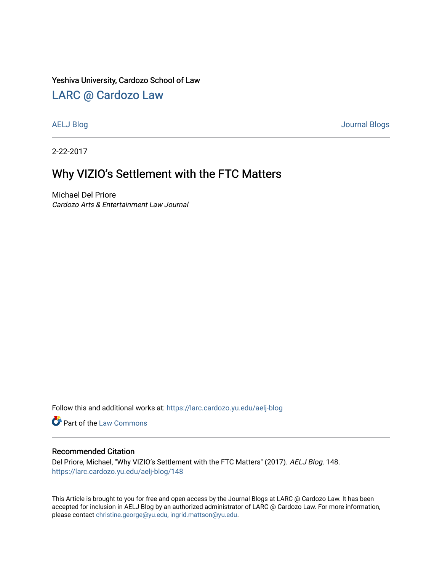### Yeshiva University, Cardozo School of Law

## [LARC @ Cardozo Law](https://larc.cardozo.yu.edu/)

[AELJ Blog](https://larc.cardozo.yu.edu/aelj-blog) [Journal Blogs](https://larc.cardozo.yu.edu/journal-blogs) 

2-22-2017

# Why VIZIO's Settlement with the FTC Matters

Michael Del Priore Cardozo Arts & Entertainment Law Journal

Follow this and additional works at: [https://larc.cardozo.yu.edu/aelj-blog](https://larc.cardozo.yu.edu/aelj-blog?utm_source=larc.cardozo.yu.edu%2Faelj-blog%2F148&utm_medium=PDF&utm_campaign=PDFCoverPages) 

Part of the [Law Commons](http://network.bepress.com/hgg/discipline/578?utm_source=larc.cardozo.yu.edu%2Faelj-blog%2F148&utm_medium=PDF&utm_campaign=PDFCoverPages)

#### Recommended Citation

Del Priore, Michael, "Why VIZIO's Settlement with the FTC Matters" (2017). AELJ Blog. 148. [https://larc.cardozo.yu.edu/aelj-blog/148](https://larc.cardozo.yu.edu/aelj-blog/148?utm_source=larc.cardozo.yu.edu%2Faelj-blog%2F148&utm_medium=PDF&utm_campaign=PDFCoverPages) 

This Article is brought to you for free and open access by the Journal Blogs at LARC @ Cardozo Law. It has been accepted for inclusion in AELJ Blog by an authorized administrator of LARC @ Cardozo Law. For more information, please contact [christine.george@yu.edu, ingrid.mattson@yu.edu.](mailto:christine.george@yu.edu,%20ingrid.mattson@yu.edu)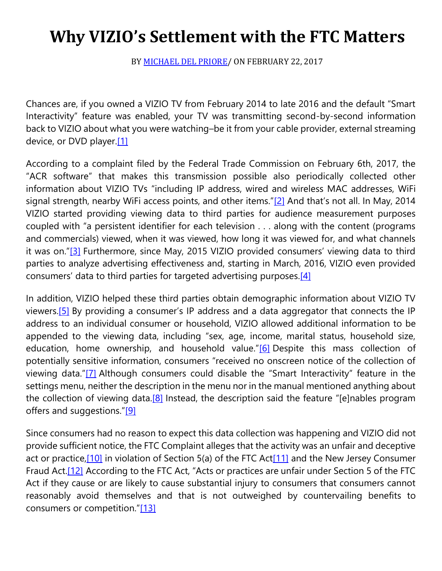# **Why VIZIO's Settlement with the FTC Matters**

BY [MICHAEL DEL PRIORE/](https://cardozoaelj.com/author/michael-del-priore/) ON FEBRUARY 22, 2017

Chances are, if you owned a VIZIO TV from February 2014 to late 2016 and the default "Smart Interactivity" feature was enabled, your TV was transmitting second-by-second information back to VIZIO about what you were watching–be it from your cable provider, external streaming device, or DVD player[.\[1\]](https://cardozoaelj.com/2017/02/22/vizios-settlement-ftc-matters/#_ftn1)

According to a complaint filed by the Federal Trade Commission on February 6th, 2017, the "ACR software" that makes this transmission possible also periodically collected other information about VIZIO TVs "including IP address, wired and wireless MAC addresses, WiFi signal strength, nearby WiFi access points, and other items." $[2]$  And that's not all. In May, 2014 VIZIO started providing viewing data to third parties for audience measurement purposes coupled with "a persistent identifier for each television . . . along with the content (programs and commercials) viewed, when it was viewed, how long it was viewed for, and what channels it was on."[\[3\]](https://cardozoaelj.com/2017/02/22/vizios-settlement-ftc-matters/#_ftn3) Furthermore, since May, 2015 VIZIO provided consumers' viewing data to third parties to analyze advertising effectiveness and, starting in March, 2016, VIZIO even provided consumers' data to third parties for targeted advertising purposes[.\[4\]](https://cardozoaelj.com/2017/02/22/vizios-settlement-ftc-matters/#_ftn4)

In addition, VIZIO helped these third parties obtain demographic information about VIZIO TV viewers[.\[5\]](https://cardozoaelj.com/2017/02/22/vizios-settlement-ftc-matters/#_ftn5) By providing a consumer's IP address and a data aggregator that connects the IP address to an individual consumer or household, VIZIO allowed additional information to be appended to the viewing data, including "sex, age, income, marital status, household size, education, home ownership, and household value."[\[6\]](https://cardozoaelj.com/2017/02/22/vizios-settlement-ftc-matters/#_ftn6) Despite this mass collection of potentially sensitive information, consumers "received no onscreen notice of the collection of viewing data."[\[7\]](https://cardozoaelj.com/2017/02/22/vizios-settlement-ftc-matters/#_ftn7) Although consumers could disable the "Smart Interactivity" feature in the settings menu, neither the description in the menu nor in the manual mentioned anything about the collection of viewing data.<sup>[8]</sup> Instead, the description said the feature "[e]nables program offers and suggestions."[\[9\]](https://cardozoaelj.com/2017/02/22/vizios-settlement-ftc-matters/#_ftn9)

Since consumers had no reason to expect this data collection was happening and VIZIO did not provide sufficient notice, the FTC Complaint alleges that the activity was an unfair and deceptive act or practice[,\[10\]](https://cardozoaelj.com/2017/02/22/vizios-settlement-ftc-matters/#_ftn10) in violation of Section 5(a) of the FTC Ac[t\[11\]](https://cardozoaelj.com/2017/02/22/vizios-settlement-ftc-matters/#_ftn11) and the New Jersey Consumer Fraud Act[.\[12\]](https://cardozoaelj.com/2017/02/22/vizios-settlement-ftc-matters/#_ftn12) According to the FTC Act, "Acts or practices are unfair under Section 5 of the FTC Act if they cause or are likely to cause substantial injury to consumers that consumers cannot reasonably avoid themselves and that is not outweighed by countervailing benefits to consumers or competition."[\[13\]](https://cardozoaelj.com/2017/02/22/vizios-settlement-ftc-matters/#_ftn13)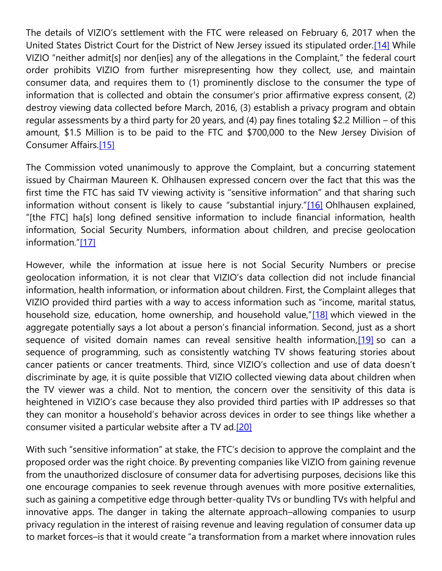The details of VIZIO's settlement with the FTC were released on February 6, 2017 when the United States District Court for the District of New Jersey issued its stipulated order[.\[14\]](https://cardozoaelj.com/2017/02/22/vizios-settlement-ftc-matters/#_ftn14) While VIZIO "neither admit[s] nor den[ies] any of the allegations in the Complaint," the federal court order prohibits VIZIO from further misrepresenting how they collect, use, and maintain consumer data, and requires them to (1) prominently disclose to the consumer the type of information that is collected and obtain the consumer's prior affirmative express consent, (2) destroy viewing data collected before March, 2016, (3) establish a privacy program and obtain regular assessments by a third party for 20 years, and (4) pay fines totaling \$2.2 Million – of this amount, \$1.5 Million is to be paid to the FTC and \$700,000 to the New Jersey Division of Consumer Affairs[.\[15\]](https://cardozoaelj.com/2017/02/22/vizios-settlement-ftc-matters/#_ftn15)

The Commission voted unanimously to approve the Complaint, but a concurring statement issued by Chairman Maureen K. Ohlhausen expressed concern over the fact that this was the first time the FTC has said TV viewing activity is "sensitive information" and that sharing such information without consent is likely to cause "substantial injury."[\[16\]](https://cardozoaelj.com/2017/02/22/vizios-settlement-ftc-matters/#_ftn16) Ohlhausen explained, "[the FTC] ha[s] long defined sensitive information to include financial information, health information, Social Security Numbers, information about children, and precise geolocation information."[\[17\]](https://cardozoaelj.com/2017/02/22/vizios-settlement-ftc-matters/#_ftn17)

However, while the information at issue here is not Social Security Numbers or precise geolocation information, it is not clear that VIZIO's data collection did not include financial information, health information, or information about children. First, the Complaint alleges that VIZIO provided third parties with a way to access information such as "income, marital status, household size, education, home ownership, and household value,"[\[18\]](https://cardozoaelj.com/2017/02/22/vizios-settlement-ftc-matters/#_ftn18) which viewed in the aggregate potentially says a lot about a person's financial information. Second, just as a short sequence of visited domain names can reveal sensitive health information, [19] so can a sequence of programming, such as consistently watching TV shows featuring stories about cancer patients or cancer treatments. Third, since VIZIO's collection and use of data doesn't discriminate by age, it is quite possible that VIZIO collected viewing data about children when the TV viewer was a child. Not to mention, the concern over the sensitivity of this data is heightened in VIZIO's case because they also provided third parties with IP addresses so that they can monitor a household's behavior across devices in order to see things like whether a consumer visited a particular website after a TV ad[.\[20\]](https://cardozoaelj.com/2017/02/22/vizios-settlement-ftc-matters/#_ftn20)

With such "sensitive information" at stake, the FTC's decision to approve the complaint and the proposed order was the right choice. By preventing companies like VIZIO from gaining revenue from the unauthorized disclosure of consumer data for advertising purposes, decisions like this one encourage companies to seek revenue through avenues with more positive externalities, such as gaining a competitive edge through better-quality TVs or bundling TVs with helpful and innovative apps. The danger in taking the alternate approach–allowing companies to usurp privacy regulation in the interest of raising revenue and leaving regulation of consumer data up to market forces–is that it would create "a transformation from a market where innovation rules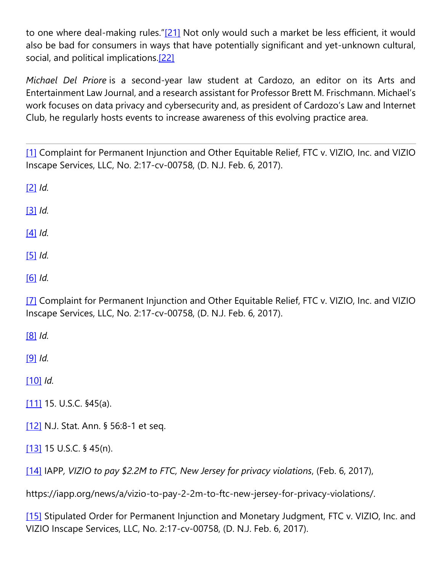to one where deal-making rules."[\[21\]](https://cardozoaelj.com/2017/02/22/vizios-settlement-ftc-matters/#_ftn21) Not only would such a market be less efficient, it would also be bad for consumers in ways that have potentially significant and yet-unknown cultural, social, and political implications.<sup>[22]</sup>

*Michael Del Priore* is a second-year law student at Cardozo, an editor on its Arts and Entertainment Law Journal, and a research assistant for Professor Brett M. Frischmann. Michael's work focuses on data privacy and cybersecurity and, as president of Cardozo's Law and Internet Club, he regularly hosts events to increase awareness of this evolving practice area.

[\[1\]](https://cardozoaelj.com/2017/02/22/vizios-settlement-ftc-matters/#_ftnref1) Complaint for Permanent Injunction and Other Equitable Relief, FTC v. VIZIO, Inc. and VIZIO Inscape Services, LLC, No. 2:17-cv-00758, (D. N.J. Feb. 6, 2017).

[\[2\]](https://cardozoaelj.com/2017/02/22/vizios-settlement-ftc-matters/#_ftnref2) *Id.*

[\[3\]](https://cardozoaelj.com/2017/02/22/vizios-settlement-ftc-matters/#_ftnref3) *Id.*

[\[4\]](https://cardozoaelj.com/2017/02/22/vizios-settlement-ftc-matters/#_ftnref4) *Id.*

[\[5\]](https://cardozoaelj.com/2017/02/22/vizios-settlement-ftc-matters/#_ftnref5) *Id.*

[\[6\]](https://cardozoaelj.com/2017/02/22/vizios-settlement-ftc-matters/#_ftnref6) *Id.*

[\[7\]](https://cardozoaelj.com/2017/02/22/vizios-settlement-ftc-matters/#_ftnref7) Complaint for Permanent Injunction and Other Equitable Relief, FTC v. VIZIO, Inc. and VIZIO Inscape Services, LLC, No. 2:17-cv-00758, (D. N.J. Feb. 6, 2017).

[\[8\]](https://cardozoaelj.com/2017/02/22/vizios-settlement-ftc-matters/#_ftnref8) *Id.*

[\[9\]](https://cardozoaelj.com/2017/02/22/vizios-settlement-ftc-matters/#_ftnref9) *Id.*

[\[10\]](https://cardozoaelj.com/2017/02/22/vizios-settlement-ftc-matters/#_ftnref10) *Id.*

[\[11\]](https://cardozoaelj.com/2017/02/22/vizios-settlement-ftc-matters/#_ftnref11) 15. U.S.C. §45(a).

[\[12\]](https://cardozoaelj.com/2017/02/22/vizios-settlement-ftc-matters/#_ftnref12) N.J. Stat. Ann. § 56:8-1 et seq.

[\[13\]](https://cardozoaelj.com/2017/02/22/vizios-settlement-ftc-matters/#_ftnref13) 15 U.S.C. § 45(n).

[\[14\]](https://cardozoaelj.com/2017/02/22/vizios-settlement-ftc-matters/#_ftnref14) IAPP*, VIZIO to pay \$2.2M to FTC, New Jersey for privacy violations*, (Feb. 6, 2017),

https://iapp.org/news/a/vizio-to-pay-2-2m-to-ftc-new-jersey-for-privacy-violations/.

[\[15\]](https://cardozoaelj.com/2017/02/22/vizios-settlement-ftc-matters/#_ftnref15) Stipulated Order for Permanent Injunction and Monetary Judgment, FTC v. VIZIO, Inc. and VIZIO Inscape Services, LLC, No. 2:17-cv-00758, (D. N.J. Feb. 6, 2017).